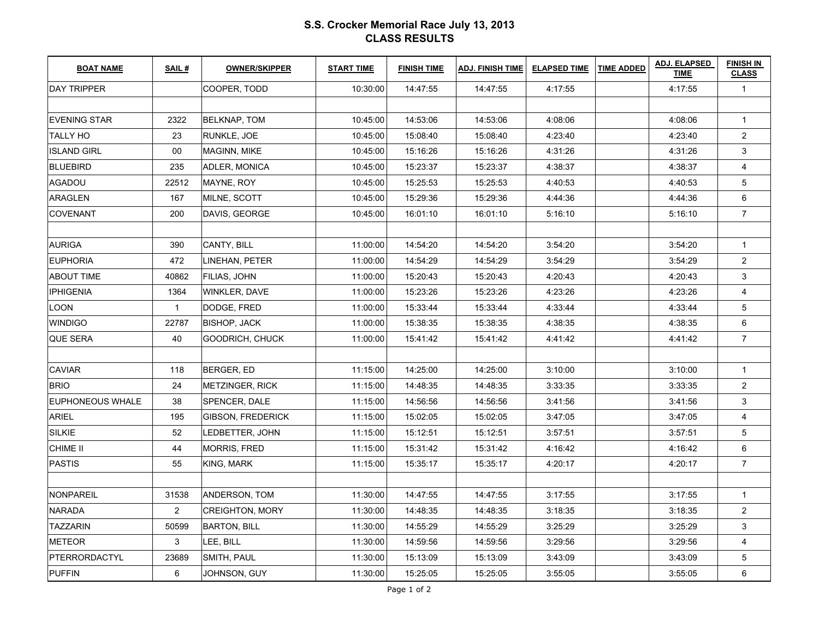## **S.S. Crocker Memorial Race July 13, 2013CLASS RESULTS**

| <b>BOAT NAME</b>        | SAIL#          | <b>OWNER/SKIPPER</b>     | <b>START TIME</b> | <b>FINISH TIME</b> | <b>ADJ. FINISH TIME</b> | <b>ELAPSED TIME</b> | <b>TIME ADDED</b> | <b>ADJ. ELAPSED</b><br><b>TIME</b> | <b>FINISH IN</b><br><b>CLASS</b> |
|-------------------------|----------------|--------------------------|-------------------|--------------------|-------------------------|---------------------|-------------------|------------------------------------|----------------------------------|
| <b>DAY TRIPPER</b>      |                | COOPER, TODD             | 10:30:00          | 14:47:55           | 14:47:55                | 4:17:55             |                   | 4:17:55                            | $\mathbf{1}$                     |
|                         |                |                          |                   |                    |                         |                     |                   |                                    |                                  |
| <b>EVENING STAR</b>     | 2322           | <b>BELKNAP, TOM</b>      | 10:45:00          | 14:53:06           | 14:53:06                | 4:08:06             |                   | 4:08:06                            | $\mathbf{1}$                     |
| TALLY HO                | 23             | RUNKLE, JOE              | 10:45:00          | 15:08:40           | 15:08:40                | 4:23:40             |                   | 4:23:40                            | $\overline{2}$                   |
| <b>ISLAND GIRL</b>      | 00             | <b>MAGINN, MIKE</b>      | 10:45:00          | 15:16:26           | 15:16:26                | 4:31:26             |                   | 4:31:26                            | 3                                |
| <b>BLUEBIRD</b>         | 235            | ADLER, MONICA            | 10:45:00          | 15:23:37           | 15:23:37                | 4:38:37             |                   | 4:38:37                            | $\overline{4}$                   |
| <b>AGADOU</b>           | 22512          | MAYNE, ROY               | 10:45:00          | 15:25:53           | 15:25:53                | 4:40:53             |                   | 4:40:53                            | 5                                |
| ARAGLEN                 | 167            | MILNE, SCOTT             | 10:45:00          | 15:29:36           | 15:29:36                | 4:44:36             |                   | 4:44:36                            | 6                                |
| <b>COVENANT</b>         | 200            | DAVIS, GEORGE            | 10:45:00          | 16:01:10           | 16:01:10                | 5:16:10             |                   | 5:16:10                            | $\overline{7}$                   |
|                         |                |                          |                   |                    |                         |                     |                   |                                    |                                  |
| <b>AURIGA</b>           | 390            | CANTY, BILL              | 11:00:00          | 14:54:20           | 14:54:20                | 3:54:20             |                   | 3:54:20                            | $\mathbf{1}$                     |
| <b>EUPHORIA</b>         | 472            | LINEHAN, PETER           | 11:00:00          | 14:54:29           | 14:54:29                | 3:54:29             |                   | 3:54:29                            | $\overline{2}$                   |
| <b>ABOUT TIME</b>       | 40862          | FILIAS, JOHN             | 11:00:00          | 15:20:43           | 15:20:43                | 4:20:43             |                   | 4:20:43                            | 3                                |
| <b>IPHIGENIA</b>        | 1364           | WINKLER, DAVE            | 11:00:00          | 15:23:26           | 15:23:26                | 4:23:26             |                   | 4:23:26                            | $\overline{4}$                   |
| LOON                    | $\mathbf{1}$   | DODGE, FRED              | 11:00:00          | 15:33:44           | 15:33:44                | 4:33:44             |                   | 4:33:44                            | 5                                |
| <b>WINDIGO</b>          | 22787          | <b>BISHOP, JACK</b>      | 11:00:00          | 15:38:35           | 15:38:35                | 4:38:35             |                   | 4:38:35                            | 6                                |
| QUE SERA                | 40             | GOODRICH, CHUCK          | 11:00:00          | 15:41:42           | 15:41:42                | 4:41:42             |                   | 4:41:42                            | $\overline{7}$                   |
|                         |                |                          |                   |                    |                         |                     |                   |                                    |                                  |
| <b>CAVIAR</b>           | 118            | <b>BERGER, ED</b>        | 11:15:00          | 14:25:00           | 14:25:00                | 3:10:00             |                   | 3:10:00                            | $\mathbf{1}$                     |
| <b>BRIO</b>             | 24             | <b>METZINGER, RICK</b>   | 11:15:00          | 14:48:35           | 14:48:35                | 3:33:35             |                   | 3:33:35                            | $\overline{c}$                   |
| <b>EUPHONEOUS WHALE</b> | 38             | SPENCER, DALE            | 11:15:00          | 14:56:56           | 14:56:56                | 3:41:56             |                   | 3:41:56                            | 3                                |
| <b>ARIEL</b>            | 195            | <b>GIBSON, FREDERICK</b> | 11:15:00          | 15:02:05           | 15:02:05                | 3:47:05             |                   | 3:47:05                            | $\overline{4}$                   |
| <b>SILKIE</b>           | 52             | LEDBETTER, JOHN          | 11:15:00          | 15:12:51           | 15:12:51                | 3:57:51             |                   | 3:57:51                            | 5                                |
| CHIME II                | 44             | MORRIS, FRED             | 11:15:00          | 15:31:42           | 15:31:42                | 4:16:42             |                   | 4:16:42                            | 6                                |
| <b>PASTIS</b>           | 55             | KING, MARK               | 11:15:00          | 15:35:17           | 15:35:17                | 4:20:17             |                   | 4:20:17                            | $\overline{7}$                   |
|                         |                |                          |                   |                    |                         |                     |                   |                                    |                                  |
| <b>NONPAREIL</b>        | 31538          | <b>ANDERSON, TOM</b>     | 11:30:00          | 14:47:55           | 14:47:55                | 3:17:55             |                   | 3:17:55                            | $\mathbf{1}$                     |
| <b>NARADA</b>           | $\overline{2}$ | <b>CREIGHTON, MORY</b>   | 11:30:00          | 14:48:35           | 14:48:35                | 3:18:35             |                   | 3:18:35                            | $\overline{2}$                   |
| <b>TAZZARIN</b>         | 50599          | <b>BARTON, BILL</b>      | 11:30:00          | 14:55:29           | 14:55:29                | 3:25:29             |                   | 3:25:29                            | 3                                |
| <b>METEOR</b>           | 3              | LEE, BILL                | 11:30:00          | 14:59:56           | 14:59:56                | 3:29:56             |                   | 3:29:56                            | 4                                |
| PTERRORDACTYL           | 23689          | SMITH, PAUL              | 11:30:00          | 15:13:09           | 15:13:09                | 3:43:09             |                   | 3:43:09                            | 5                                |
| <b>PUFFIN</b>           | 6              | JOHNSON, GUY             | 11:30:00          | 15:25:05           | 15:25:05                | 3:55:05             |                   | 3:55:05                            | 6                                |